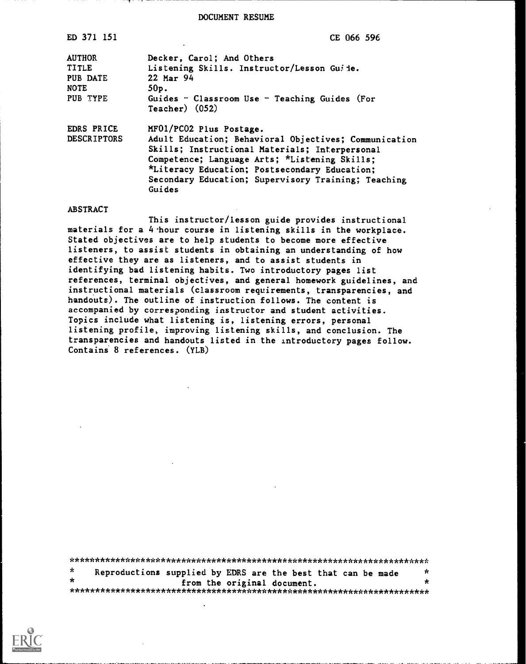DOCUMENT RESUME

| ED 371 151                                                           | CE 066 596                                                                                                                                                                                                                                                                                            |
|----------------------------------------------------------------------|-------------------------------------------------------------------------------------------------------------------------------------------------------------------------------------------------------------------------------------------------------------------------------------------------------|
| <b>AUTHOR</b><br><b>TITLE</b><br>PUB DATE<br><b>NOTE</b><br>PUB TYPE | Decker, Carol; And Others<br>Listening Skills. Instructor/Lesson Guide.<br>22 Mar 94<br>$50p$ .<br>Guides - Classroom Use - Teaching Guides (For<br>$Teacher)$ (052)                                                                                                                                  |
| EDRS PRICE<br><b>DESCRIPTORS</b>                                     | MF01/PC02 Plus Postage.<br>Adult Education; Behavioral Objectives; Communication<br>Skills; Instructional Materials; Interpersonal<br>Competence; Language Arts; *Listening Skills;<br>*Literacy Education; Postsecondary Education;<br>Secondary Education; Supervisory Training; Teaching<br>Guides |

## ABSTRACT

This instructor/lesson guide provides instructional materials for a 4-hour course in listening skills in the workplace. Stated objectives are to help students to become more effective listeners, to assist students in obtaining an understanding of how effective they are as listeners, and to assist students in identifying bad listening habits. Two introductory pages list references, terminal objectives, and general homework guidelines, and instructional materials (classroom requirements, transparencies, and handouts). The outline of instruction follows. The content is accompanied by corresponding instructor and student activities. Topics include what listening is, listening errors, personal listening profile, improving listening skills, and conclusion. The transparencies and handouts listed in the introductory pages follow. Contains 8 references. (YLB)

| -r      |  | Reproductions supplied by EDRS are the best that can be made | Ý. |  |
|---------|--|--------------------------------------------------------------|----|--|
| $\star$ |  | from the original document.                                  |    |  |
|         |  |                                                              |    |  |

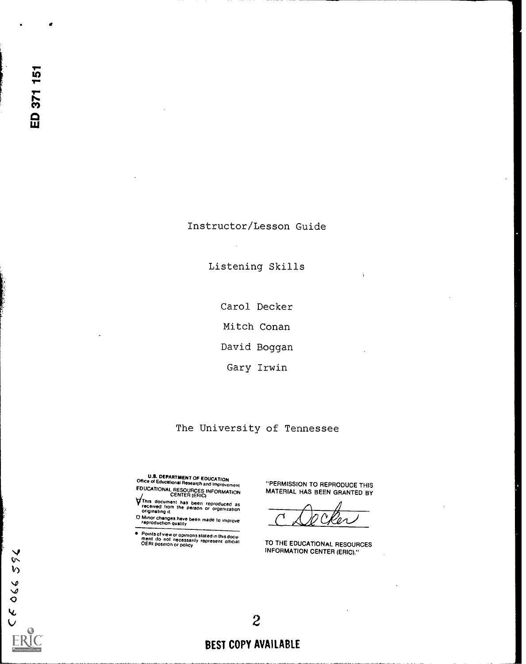# Instructor/Lesson Guide

Listening Skills

Carol Decker

Mitch Conan

David Boggan

Gary Irwin

# The University of Tennessee

U.S. DEPARTMENT OF EDUCATION Office of Educational Research and Improvement EDUCATIONAL RESOURCES INFORMATION

- This document has been reproduced as received from the person or organization originating it.
- 0 Minor changes have been made to improve reproduction quality
- Points of view or opinions stated in this docu-<br>ment do not necessarily represent official<br>OERI position or policy

"PERMISSION TO REPRODUCE THIS MATERIAL HAS BEEN GRANTED BY

TO THE EDUCATIONAL RESOURCES INFORMATION CENTER (ERIC)."



# 2 BEST COPY AVAILABLE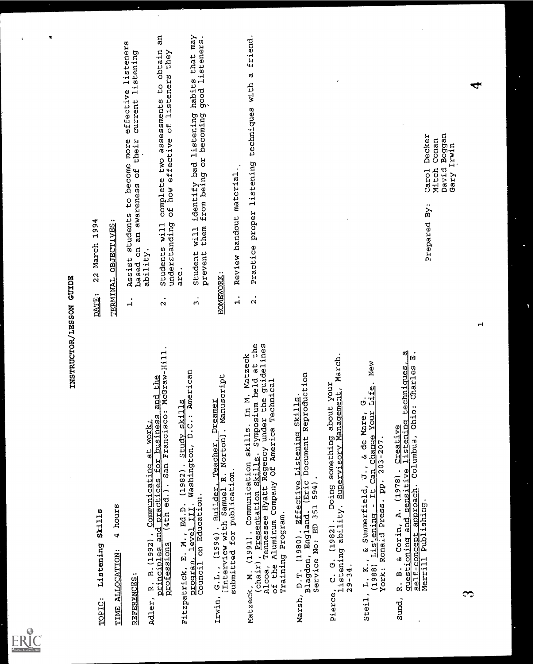

- 
- 
- 
- TOPIC: Listening Skills TIME ALLOCATION: 4 hours REFERENCES: Adler, R. B.(1992). Communicating at work; principles and practices for business and the professions (4th ed.). San Francisco: McGraw-Hill. Fitzpatrick, E. M., Ed.D. (1982) . Study skills program, level III. Washington, D.C.: American Council on Education. Irwin, G.L., (1994). Builder, Teacher, Dreamer [Interview with Samuel R. Norton]. Manuscript submitted for publication. Matzeck, M. (1991) . Communication skills. In M. Matzeck (chair), Presentation Skills. Symposium held at the Alcoa, Tennessee Hyatt Regency under the guidelines of the Aluminum Company Of America Technical Training Program. Marsh, D.T. (1980) . Effective Listening Skills. Blagdon, England. (Eric Document Reproduction Service No: ED 351 594). Pierce, C. G. (1982). Doing something about your listening ability. Supervisory Management, March. 29-34. Steil, L. K., & Summerfield, J., & de Mare, G. (1988) Lis'..ening It Can Change Your Life. New York: Ronaid Press. pp. 203-207. Sund, R. B. & Corin, A. (1978). Creative questioning and sensitive listening techniques, a self-concept approach. Columbus, Ohio: Charles E. Merrill Publishing. 3 1 DATE: 22 March 1994 TERMINAL OBJECTIVES: 1. Assist students to become more effective listeners based on an awareness of their current listening ability. 2. Students will complete two assessments to obtain an underEtanding of how effective of listeners they are. 3. Student will identify bad listening habits that may prevent them from being or becoming good listeners. HOMEWORK: 1. Review handout material.. 2. Practice proper listening techniques with a friend. Prepared By: Carol Decker Mitch Conan David Boggan Gary Irwin
	-
- 
- 
- 

- INSTRUCTOR/LESSON GUIDE<br>DATE: 22 March 1994<br><u>DATE: 22 March 1994</u><br>TERMINAL OBJECTIVES:<br>1. Assist students to become more effective listeners
- 

 $\hat{\boldsymbol{\cdot}$ 

- 
-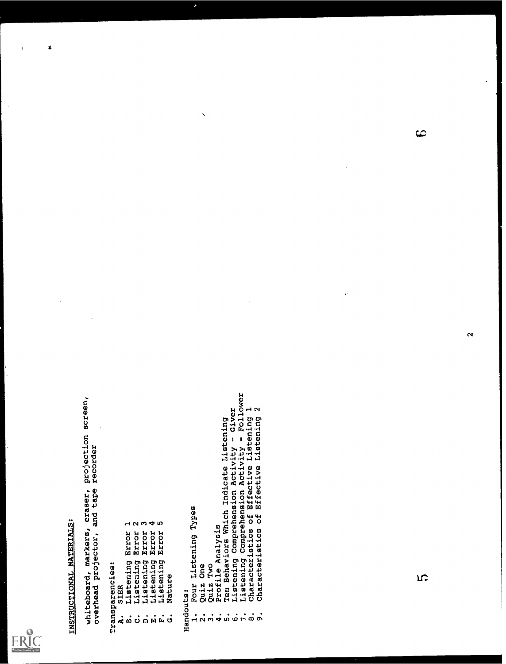

 $\boldsymbol{\mathbf{z}}$ 

and the second second and the second second second and the second second second second and the second second second second second second second second second second second second second second second second second second s

- 
- 
- 
- 
- 
- 
- 

- 
- 
- 
- 
- 
- -
- -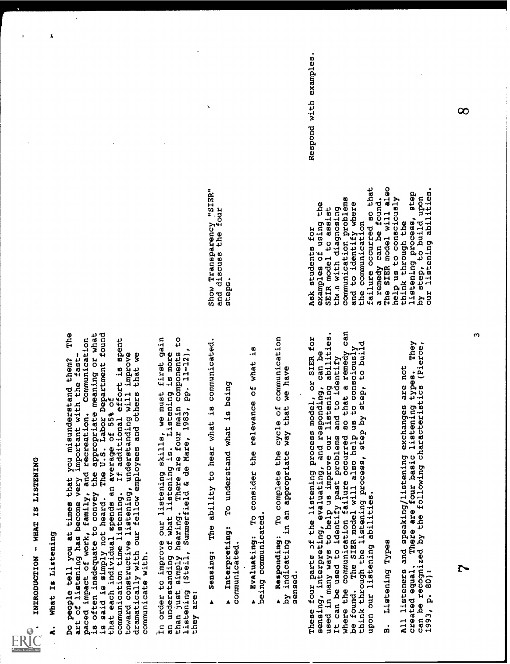

 $\pmb{\mathcal{L}}$ 

I. INTRODUCTION - WHAT IS LISTENING A. What Is Listening Do people tell you at times that you misunderstand them? The art of listening has become very important with the fast- paced impact of work, family, and recreation. Communication is often inadequate to convey the appropriate meaning or what is said is simply not heard. The U.S. Labor Department found that each individual spends an average of 55% of communication time listening. If additional effort is spent toward constructive listening, understanding will improve dramatically with our fellow employees and others that we communicate with. In order to improve our listening skills, we must first gain an understanding of what listening is. Listening is more than just simply hearing. There are four main components to listening (Steil, Summerfield & de Mare, 1983, pp. 11-12), they are: . sensing: The ability to hear what is communicated. Interpreting: To understand what is being communicated. s Evaluating: To consider the relevance of what is being communicated. s Responding: To complete the cycle of communication by indicating in an appropriate way that we have sensed. These four parte pf the listening process model, or SIER for sensing, interpreting, evaluating, and responding, can be used in many ways to help us improve our listening abilities. It can be used to identify past problems and to identify where the communication failure occurred so that a remedy can be found. The SIER model will also help us to consciously think through the listening process, step by step, to build upon our listening abilities. B. Listening Types All listeners and speaking/listening exchanges are not created equal. There are four basic listening types. They can be recognized by the following characteristics (Pierce, 1993, p. 80):7 3 Show Transparency 7SIER" and discuss the four steps. Ask students for examples ot using the SEIR model to assist th ii with diagnosing communication problems and to identify where the communication failure occurred so that a remedy can be found. The SIER model will also help us to consciously think through the listening process, step by step, to build upon our listening abilities. Respond with examples. 8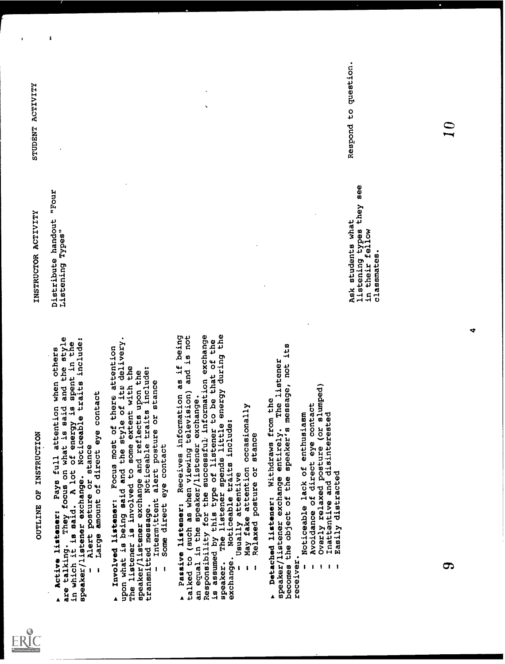

OUTLINE OF INSTRUCTION<br>tener: Pays full atte<br>They focus on what is<br>said. A lot of ener<br>ner exchange. Noticea

, and the second and the second and the second and the second and the second and the second and the second and the second and the second and the second and the second and the second and the second and the second and the s

- 
- 

- 
- 
- 

- 
- 
- -
- -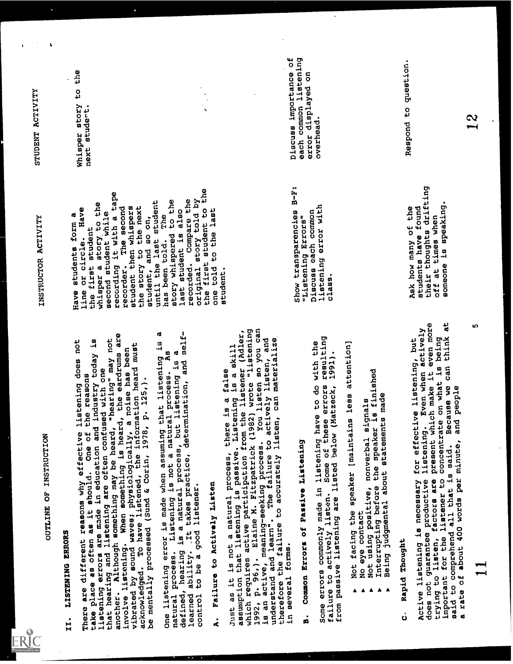

OUTLINE OF INSTRUCTION<br>II. IISTENING ERRORS<br>There are different reasons why effective listening does not<br>take place as often as it should. One of the reasons<br>listening errors are made in education and industry today is<br>tha II. INSTEAD EMONS and why effective listening does not<br>there are one of the second why effective listening does not<br>there are one of the phase and the oldeation and industry today is<br>inferenced are original are often accom

Not facing the speaker [maintains less attention,<br>
No eye contact<br>
Not using positive, nonverbal signals<br>
Interrupting before the speaker is finished<br>
Interrupting before the speaker is finished<br>
pid Thought<br>
.............

- 
- 
- 
- -

Interrupting before the speaker is finished<br>
b Being judgmental about statements made<br>
pid Thought<br>
1istening is necessary for effective listenir<br>
ot guarantee productive listening. Even when<br>
ot guarantee productive liste c. Rapid Thought<br>Active listening is necessary for effective listening, but<br>Active listening is necessary for effective listening, but<br>does not glisten, factors are present which make it even more<br>important for the listene

INSTRUCTED ACTIVITY<br>
INSTRUCTED ACTIVITY<br>
interest from a<br>
interest from a most street form a<br>
interest from a most street from a most street to the<br>
interest a street to the most street<br>
recording it with a lower the str

ເກ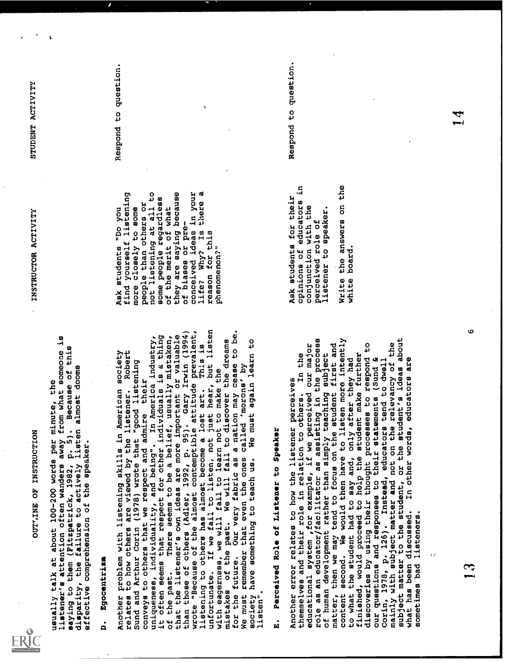

OUTT.INE OF INSTRUCTION usually talk at about 100-200 words per minute, the listener's attention often wanders away from what someone is saying to them (Fitzpatrick, 1982, p. 5). Because of this disparity, the failure to actively listen almost dooms effective comprehension of the speaker. D. Egocentrism Another problem with listening skills in American society relates to how others are viewed by the listener. Robert Sund and Arthur Corin (1978) wrote that "good listening conveys to others that we respect and admire their uniqueness, individuality, and being". In America industry, it often seems that respect for other individuals is a thing of the past. There seems to be a belief, usually mistaken, that the listener's own ideas are more important or valuable than those of others (Adler, 1992, p. 95). Gary Irwin (1994) wrote "Because of the almost contemptible attitude prevalent, listening to others has almost become a lost art. This is unfortunate. If we fail to listen, not just hear, but listen with eagerness, we will fail to learn not to make the mistakes of the past. We will fail to discover the dreams for the future. Our very fabric as a nation may cease to be. We must remember that even the ones called 'morons' by society have something to teach us. We must again learn to listen". E. Perceived Role of Listener to Speaker Another error relates to how the listener perceives themselves and their role in relation to others. In the educational system ,for example, if we perceived our major role as an educator/facUitator as assisting in the process of human development rather than simply teaching subject matter, then we may tend to focus on the student first and content second. We would then have to listen more intently to what the student had to say and, only after they had finished, would proceed to help the student make further discoveries by using their thought processes to respond to our questions and responses to their statements (Sund & Corin, 1978, p. 126). Instead, educators tend to dwell mainly with subject matter and not on the relevancy of the subject matter to the student, or the student's ideas about what has been discussed. In other words, educators are sometimes bad listeners. INSTRUCTOR ACTIVITY Ask students "Do you find yourself listening more closely to some people than others or not listening at all to some people regardless of the merit of what they are saying because of biases or pre- conceived ideas in your life? Why? Is there a reason for this phenomenon?" Ask students for their opinions of educators in conjunction with the perceived role of listener to speaker. Write the answers on the white board. STUDENT ACTIVITY Respond to question. Respond to question. 14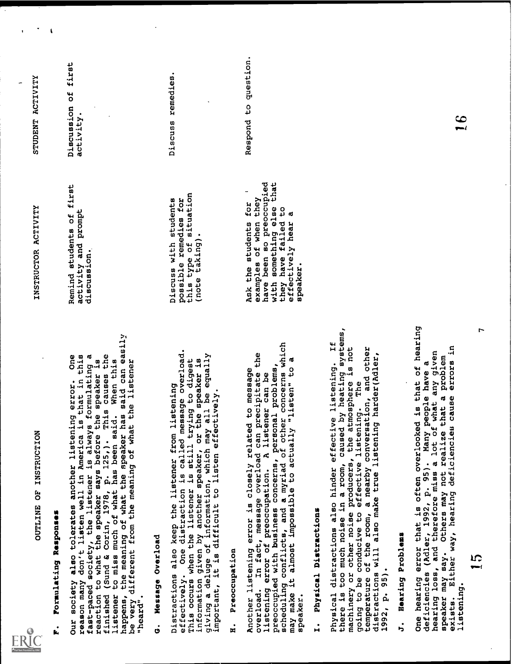

OUTLINE OF INSTRUCTION<br>
F. Formulating Responses<br>
Our society also tolerates another listening error. One<br>
reason many don't listen well in America is that in this<br>
fast-paced society, the listener is always formulating a<br> F. Formulating Responses Our society also tolerates another listening error. One reason many don't listen well in America is that in this fast-paced society, the listener is always formulating a reaction to what the speaker says before the speaker is finished (Sund & Corin, 1978, p. 125,). This causes the listener to miss much of what has been said. When this happens, the meaning of what the speaker has said can easily be very different from the meaning of what the listener "heard". G. Message Overload Distractions also keep the listener from listening effectively. One distraction is called message overload. This occurs when the listener is still trying to digest information given by another speaker, or the speaker is giving a deluge of information, which may all be equally important, it is difficult to listen effectively. H. Preoccupation Another listening error is closely related to message overload. In fact, message overload can precipitate the listening error of preoccupation. A listener can be preoccupied with business concerns, personal problems, scheduling conflicts, and a myriad of other concerns which may make it almost impossible to actually "listen" to a speaker. I. Physical Distractions Physical distractions also hinder effective listening. If there is too much noise in a room, caused by heating systems, machinery or other noise producers, the atmosphere is not going to be conducive to effective listening. The temperature of the room, a nearby conversation, and other distractions will also make true listening harder(Adler, 1992, p. 95). J. Hearing Problems One hearing error that is often overlooked is that of hearing deficiencies (Adler, 1992, p. 95). Many people have a hearing loss, and therefore miss a lot of what any given speaker may say. Others may not realize that a problem exists. Either way, hearing deficiencieu cause errors in listening. 15 7 INSTRUCTOR ACTIVITY STUDENT ACTIVITY Remind students of first activity and prompt discussion. Discuss with students possible remedies for this type of situation (note taking). Ask the students for ' examples of when they have been so preoccupied with something else that they have failed to effectively hear a speaker. Discussion of first activity. Discuss remedies. Respond to question. 16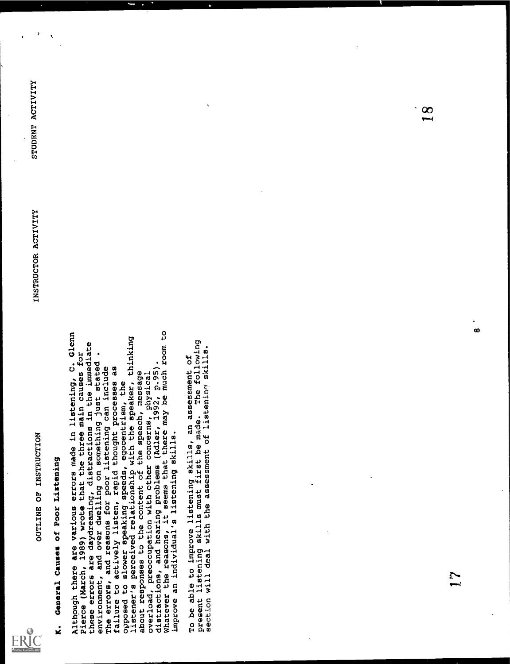

OUTLINE OF INSTRUCTION<br>K. General Causes of Poor Listening<br>Although there are various errors made in listening, C. Glenn<br>Pierce (March, 1989) wrote that the three main causes for<br>these errors are daydreaming, distractions K. General Causes of Poor Listening Althpugh there are various errors made in listening, C. Glenn Pierce (March, 1989) wrote that the three main causes for these errors are daydreaming, distractions in the immediate environment, and over dwelling on something just stated . The errors, and reasons for poor listening can include failure to actively listen, rapid thought processes as opposed to slower speaking speeds, egocentrism, the listener's perceived relationship with the speaker, thinking about responses to the content of the speech, message overload, preoccupation with other concerns, physical distractions, and hearing problems (Adler, 1992, p.95). Whatever the reasons, it seems that there may be much room to improve an individual's listening skills. To be able to improve listening skills, an assessment of present listening skills must first be made. The following section will deal with the assessment of listeninr! skills. 17 8 INSTRUCTOR ACTIVITY STUDENT ACTIVITY 18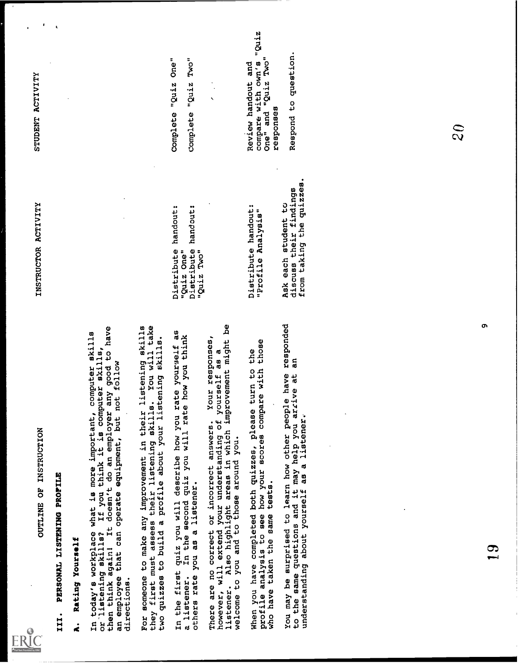

OUTLINE OF INSTRUCTION<br>III. PERSONAL LISTENING PROFILE<br>A. Rating Yourself<br>In today's workplace what is more important, computer skills<br>or listening skills? If you think it is computer skills,<br>then think again! It doesn't d III. PERSONAL LISTENING PROFILE A. Rating Yourself In today's workplace what is more important, computer skills or-listening skills? If you think it is computer skills, then think againt It doesn't do an employer any good to have an employee that can operate equipment, but not follow directions. For someone to make any improvement in their listening skills they first must assess their listening skills. You will take two quizzes to build a profile about your listening skills. In the first quiz you will describe how you rate your.zelf as a listener. In the second quiz you will rate how you think others rate you as a listener. There are no correct or incorrect answers. Your responses, however, will extend your understanding of yourself as a listener. Also highlight areas in which improvement might be welcome to you and to those around you. When you have completed both quizzes, please turn to the profile analysis to see how your scores compare with those who have taken the same tests. You may be surprised to learn how other people have responded to the same questions and it may help you arrive at an understanding about yourself as a listener. 19 9 INSTRUCTOR ACTIVITY Distribute handout: "Quiz One" Distribute handout: "Quiz Two" Distribute handout: "Profile Analysis" Ask each student to discuss their findings from taking the quizzes. STUDENT ACTIVITY Complete "Quiz One" Complete "Quiz Two" Review handout and compare with own's "Quiz One" and "Quiz Two" responses Respond to question. 20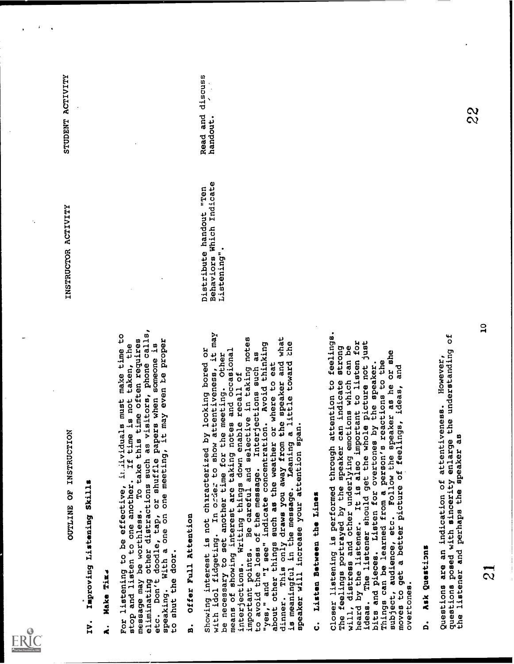

OUTLINE OF INSTRUCTION<br>1. Make Time<br>8. Make Time<br>For listening to be effective, inlividuals must make time to<br>stop and listen to one another. If time is not taken, the

In Appendix the Magnetics of the second system of the second system of the second system of the second system of the second system of the second system of the second system of the second system of the second system of the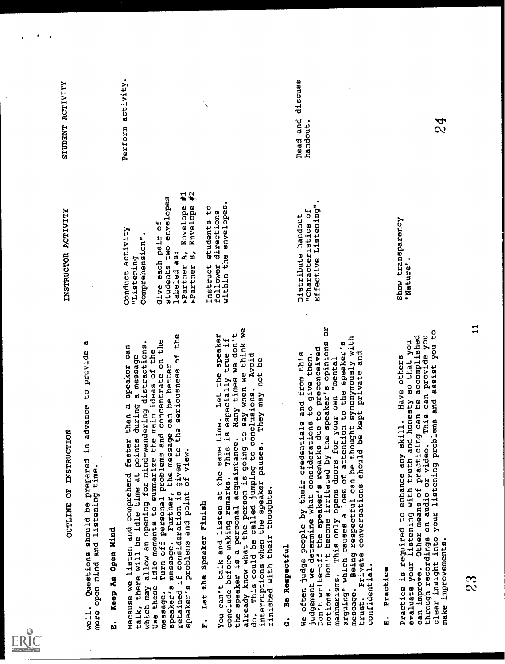

OUTLINE OF INSTRUCTION<br>well. Questions should be prepared in advance to provide a<br>more open mind and listening time.<br>B. Keep An Open Mind

ent, gentiem a anti-plane in provide a series and the series of the series of the series and a series and a series of the series of the series of the series of the series of the series of the series of the series of the se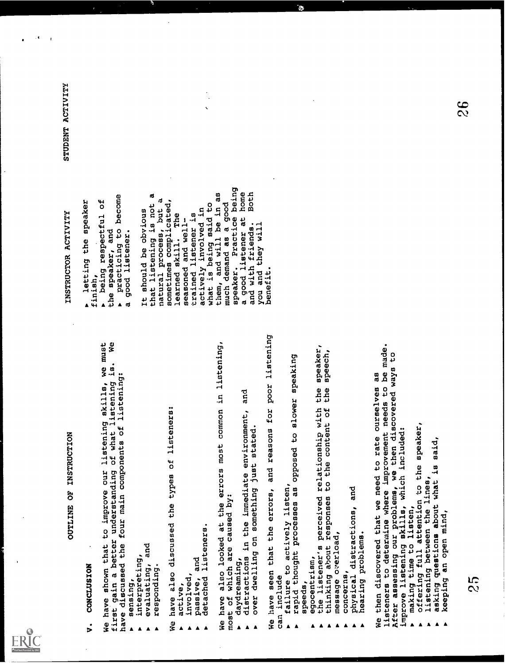

OUTLINE OF INSTRUCTION<br>to improve our listeni<br>understanding of what V. CONCLUSION<br>We have shown that to improve our listening skills, we must<br>first gain a better understanding of what listening is. We<br>have discussed the four main components of listening:<br>be seeponding.<br>a responding.<br>We hav

- -
- -

sensing,<br>
interpreting, and<br>
responding.<br>
responding.<br>
responding.<br>
responding.<br>
responding.<br>
responding.<br>
responding.<br>
responding.<br>
responding.<br>
responding.<br>
responding.<br>
responding.<br>
responding.<br>
responding.<br>
responding.

- $\frac{1}{2}$ .
- 
- 
- 

have also looked at the errors most common in listening, he involved,<br>
passive, and<br>
detached lis<br>
We have also lo<br>
We have also lo<br>
Adydreaming,<br>
adydreaming,<br>
adistractions ► detached listeners.<br>
We have also looked at the errors most common in listening<br>
most of which are caused by:<br>
► daydreaming, in the immediate environment, and<br>
► distractions in the immediate environment, and<br>
we have

- 
- 
- 

b over dwelling on something just stated.<br>We have seen that the errors, and reasons for poor listening<br>can include<br>failure to actively listen,<br>rapid thought processes as opposed to slower speaking<br>speeds,<br>exponentism,<br>exp

- .
- -
- 
- A thinking about responses to the content of the speech,<br>
A message overload,<br>
A concerns,<br>
A physical distractions, and<br>
A hearing problems.<br>
A term and also also need to rate ourselyes as
	-
	-
- 
- 

A message overload,<br>
a concerns,<br>
physical distractions, and<br>
physical distractions, and<br>
we then discovered that we need to rate ourselves as<br>
listences to determine where improvement needs to be made.<br>
improve listening

- 
- -
- ▶ offering full attention to the speaker<br>▶ listening between the lines,<br>▶ asking questions about what is said,<br>▶ keeping an open mind,<br><br>25
	-
- 

ownamental common a sympathy and any statemy in the second statemy common and a second statemy of the second state is a second state of the second state is a second state of the second state is a second state of the secon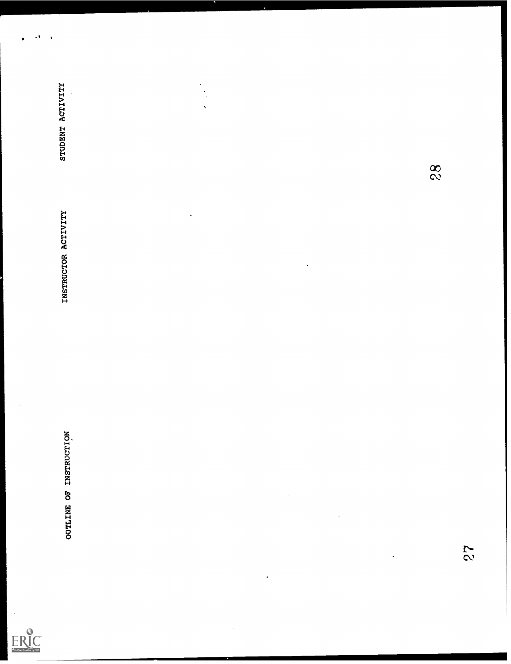

OUTLINE OF INSTRUCTION  $27$ <br>  $27$ <br>  $28$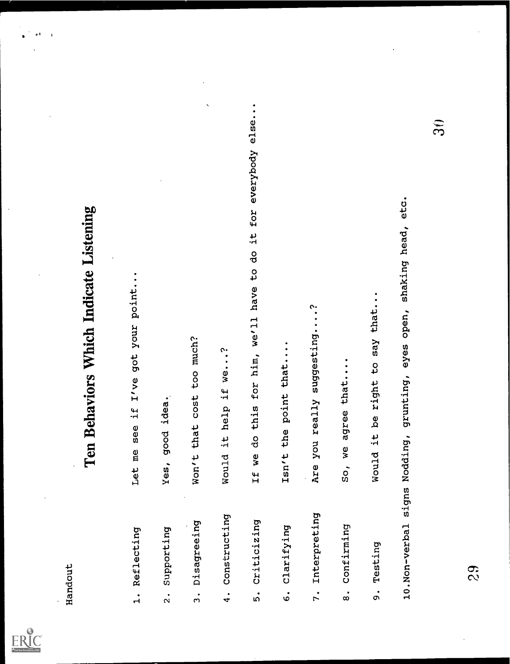

- 
- 
- 
- 
- Ten Behaviors Which Indicate Listening<br>
is a series are if I've get your point...<br>
2. Supporting<br>
3. Supporting<br>
3. Supporting<br>
1. New get is the point...<br>
4. Constructing<br>
8. Scalifying<br>
1. If we do this for NA, well hav
	-
- 
- 
-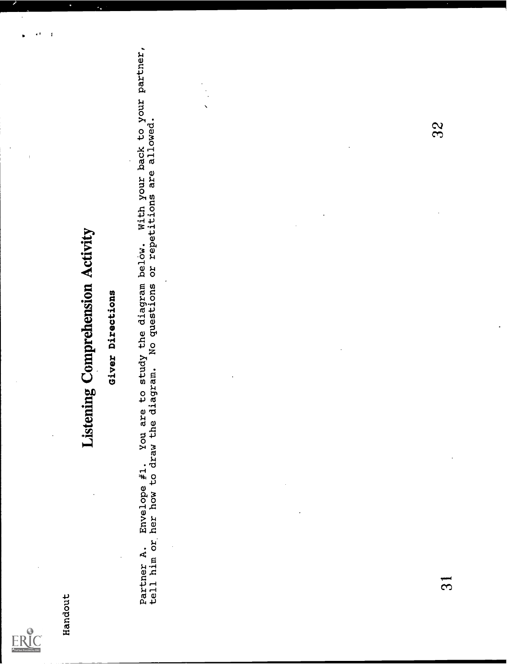

 $\overline{\mathbf{a}}$  $\mathbf{I}$ 

Assessors<br> **Listening Computentsion Activity**<br> **Computer**<br> **Computer**<br> **Computer**<br> **Computer**<br> **Computer A.** Bootly on an an extend is also also also also also also point<br>
to the computer of a stage is also also also also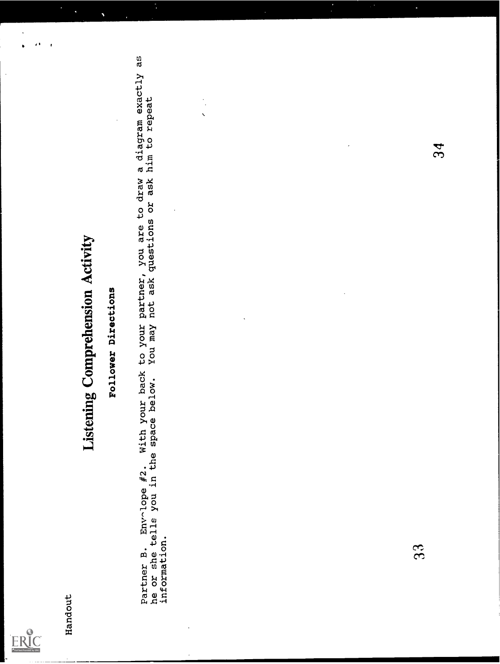

 $\overline{\phantom{0}}$ 

ï

Handout<br>Handout<br>Follow Pollower Directions<br>Partner B. Envolope #2. With your back to your partner, you are to draw a diagram exactly as<br>he or she tells you in the space below. You may not ask questions or ask him to repeat

 $33$ 

34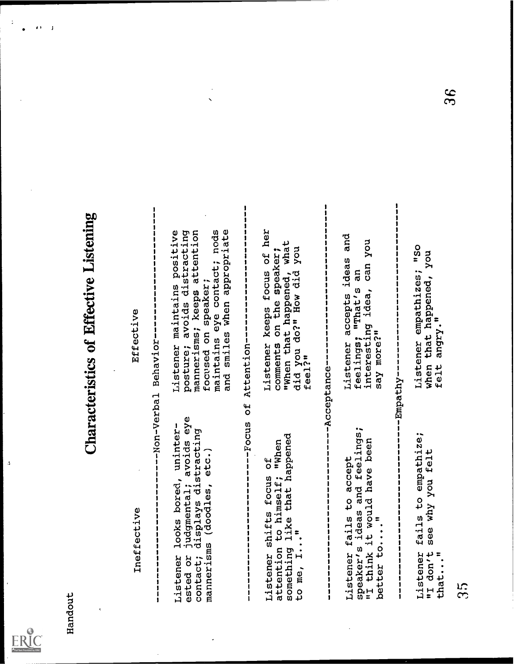

 $\overline{\mathbf{3}}$ 

J

Ensurance<br>
interfective<br>
content comparisons (Characteristics of Effective Listening<br>
content comparisons and the second content of the second content of the<br>
detective comparisons are compared to a second content of the s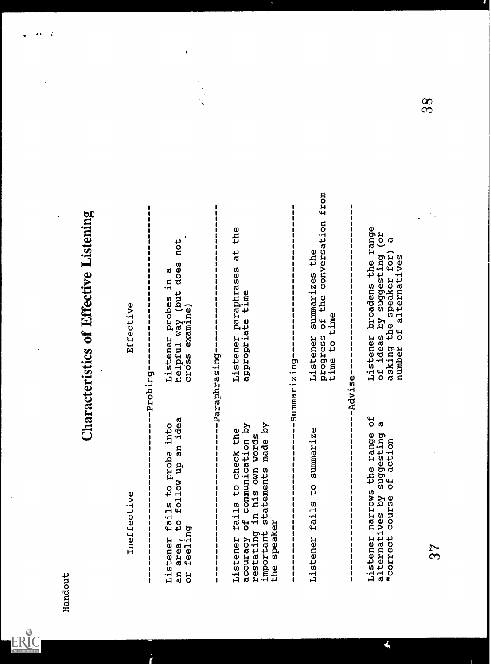

 $\overline{\mathbf{1}}$ 

Characteristics of Effective Listening<br>
instance<br>
interference<br>
interference<br>
interference<br>
interference<br>
interference<br>
interference<br>
interference<br>
interference<br>
interference<br>
interference<br>
interference<br>
interference<br>
inte

۸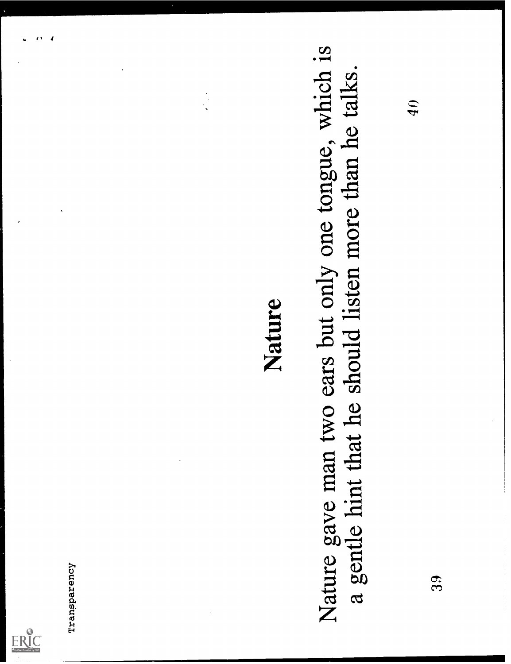

# Transparency  $\blacksquare$ <br>Nature gave man two ears but only one tongue, which is a gentle hint that he should listen more than he talks.<br> $\blacksquare$ <br>39 9 9 3 9 9 10 3 9 3 9 9 3 9 9 10 3 9 3 9 9 9 10 3 9 10 3 9 10 10 10 10 10 10 10 1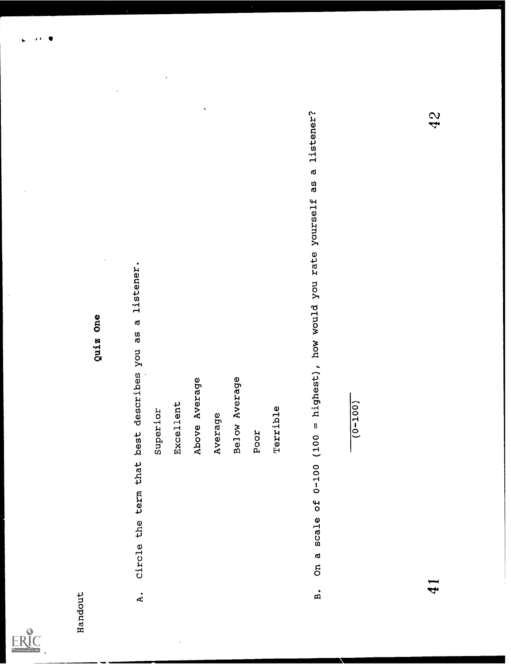

 $\bullet$  $\overline{\mathbf{r}}$  $\bullet$ 

gais one<br>
signation<br>
suggestion<br>
suggestion<br>
suggestion<br>
suggestion<br>
suggestion<br>
suggestion<br>
suggestion<br>
suggestion<br>
suggestion<br>
suggestion<br>
suggestion<br>
recent<br>
recent<br>
recent<br>
recent<br>
recent<br>
recent<br>
recent<br>
recent<br>
rece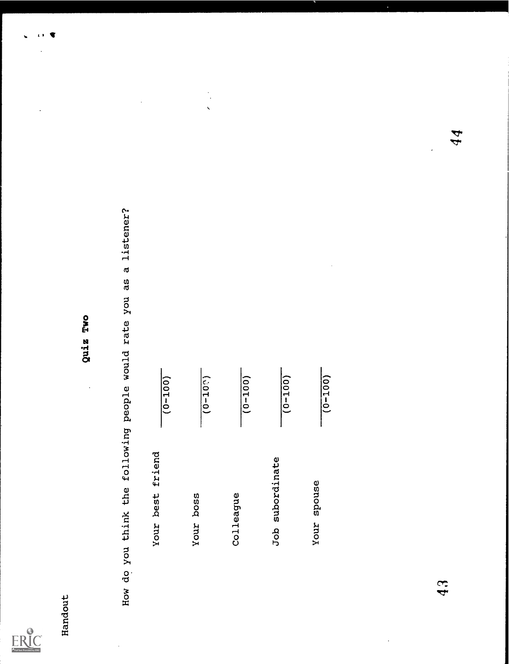

 $\overline{1}$ 

 $\ddot{\phantom{a}}$ 

Handout<br>
Move think the following youple would rate you as a listener?<br>  $\frac{1}{10-100}$ <br>
Your best friend  $\frac{1}{10-100}$ <br>
Your boss (0-100) Job subordinate (0-100) Job subordinate (0-100) 44<br>
Your spouse (0-100)  $\frac{1}{10-1$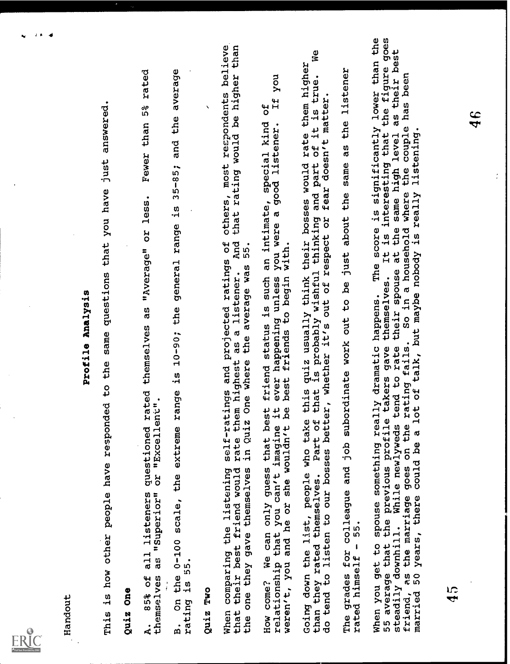

hendom:<br>This is how chear people have responded to the sum question changes in land, you have just announced.<br>This is now then people are responded to the sum questions are years of also. Tewar than 55 atend<br>the sum of the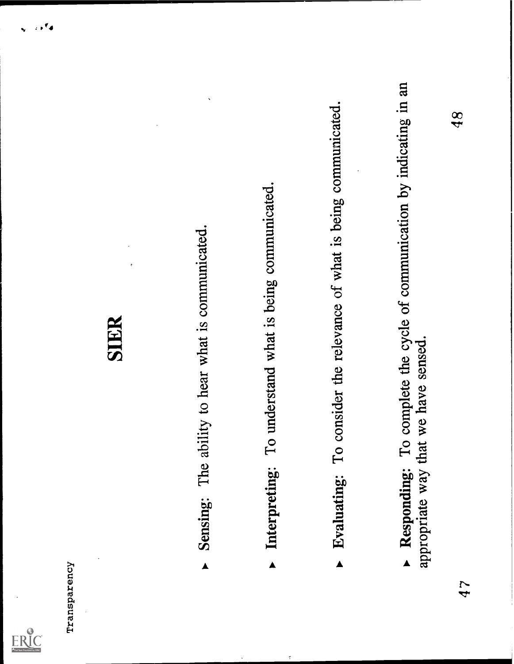

- 
- 
- 
- SIER<br>
Sensing: The ability to hear what is communicated.<br>
 Interpreting: To understand what is being communicated.<br>
 Evaluating: To consider the relevance of what is being communicated.<br>
 Evaluating: To consider the re